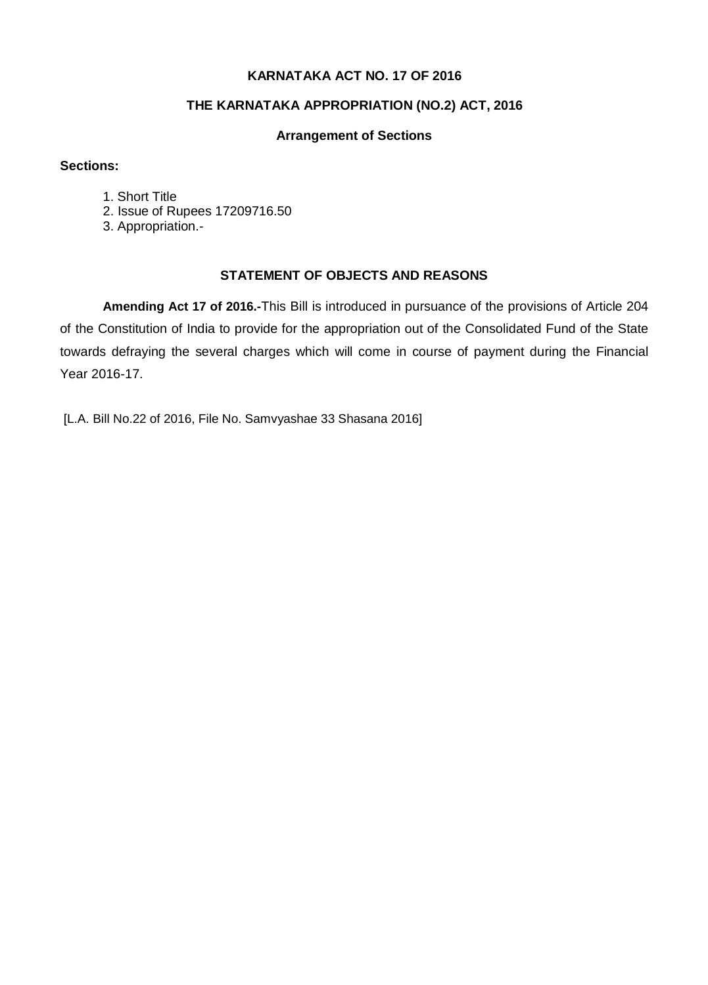## **KARNATAKA ACT NO. 17 OF 2016**

## **THE KARNATAKA APPROPRIATION (NO.2) ACT, 2016**

## **Arrangement of Sections**

## **Sections:**

- 1. Short Title
- 2. Issue of Rupees 17209716.50
- 3. Appropriation.-

## **STATEMENT OF OBJECTS AND REASONS**

**Amending Act 17 of 2016.-**This Bill is introduced in pursuance of the provisions of Article 204 of the Constitution of India to provide for the appropriation out of the Consolidated Fund of the State towards defraying the several charges which will come in course of payment during the Financial Year 2016-17.

[L.A. Bill No.22 of 2016, File No. Samvyashae 33 Shasana 2016]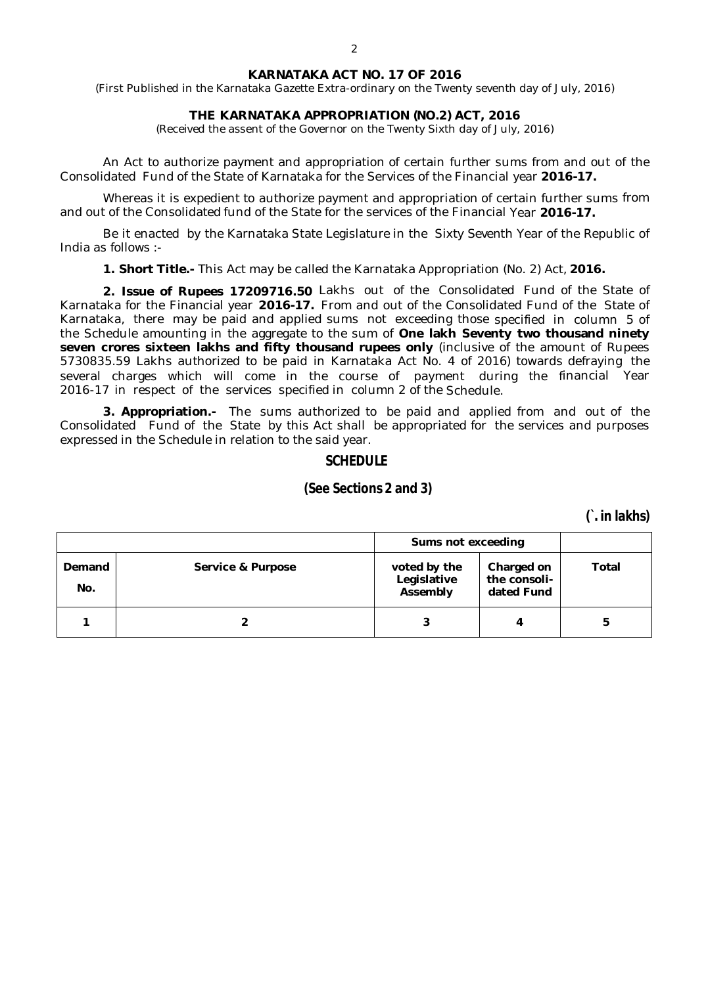#### **KARNATAKA ACT NO. 17 OF 2016**

(First Published in the Karnataka Gazette Extra-ordinary on the Twenty seventh day of July, 2016)

### **THE KARNATAKA APPROPRIATION (NO.2) ACT, 2016**

(Received the assent of the Governor on the Twenty Sixth day of July, 2016)

An Act to authorize payment and appropriation of certain further sums from and out of the Consolidated Fund of the State of Karnataka for the Services of the Financial year **2016-17.**

Whereas it is expedient to authorize payment and appropriation of certain further sums from and out of the Consolidated fund of the State for the services of the Financial Year **2016-17.**

Be it enacted by the Karnataka State Legislature in the Sixty Seventh Year of the Republic of India as follows :-

**1. Short Title.-** This Act may be called the Karnataka Appropriation (No. 2) Act, **2016.**

**2. Issue of Rupees 17209716.50** Lakhs out of the Consolidated Fund of the State of Karnataka for the Financial year **2016-17.** From and out of the Consolidated Fund of the State of Karnataka, there may be paid and applied sums not exceeding those specified in column 5 of the Schedule amounting in the aggregate to the sum of **One lakh Seventy two thousand ninety seven crores sixteen lakhs and fifty thousand rupees only** (inclusive of the amount of Rupees 5730835.59 Lakhs authorized to be paid in Karnataka Act No. 4 of 2016) towards defraying the several charges which will come in the course of payment during the financial Year 2016-17 in respect of the services specified in column 2 of the Schedule.

**3. Appropriation.-** The sums authorized to be paid and applied from and out of the Consolidated Fund of the State by this Act shall be appropriated for the services and purposes expressed in the Schedule in relation to the said year.

### **SCHEDULE**

## **(See Sections 2 and 3)**

**(`. in lakhs)**

|               |                   | Sums not exceeding                      |                                          |       |
|---------------|-------------------|-----------------------------------------|------------------------------------------|-------|
| Demand<br>No. | Service & Purpose | voted by the<br>Legislative<br>Assembly | Charged on<br>the consoli-<br>dated Fund | Total |
|               |                   |                                         | 4                                        | 5     |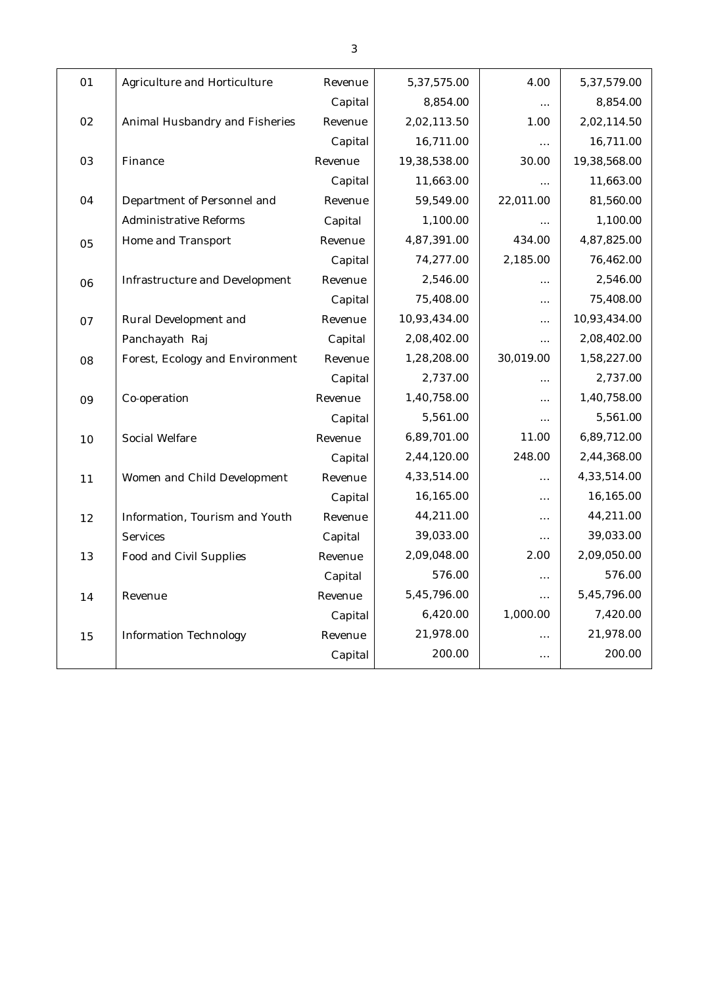| 01 | Agriculture and Horticulture    | Revenue | 5,37,575.00  | 4.00      | 5,37,579.00  |
|----|---------------------------------|---------|--------------|-----------|--------------|
|    |                                 | Capital | 8,854.00     | $\cdots$  | 8,854.00     |
| 02 | Animal Husbandry and Fisheries  | Revenue | 2,02,113.50  | 1.00      | 2,02,114.50  |
|    |                                 | Capital | 16,711.00    | $\cdots$  | 16,711.00    |
| 03 | Finance                         | Revenue | 19,38,538.00 | 30.00     | 19,38,568.00 |
|    |                                 | Capital | 11,663.00    | $\ldots$  | 11,663.00    |
| 04 | Department of Personnel and     | Revenue | 59,549.00    | 22,011.00 | 81,560.00    |
|    | Administrative Reforms          | Capital | 1,100.00     | $\ldots$  | 1,100.00     |
| 05 | Home and Transport              | Revenue | 4,87,391.00  | 434.00    | 4,87,825.00  |
|    |                                 | Capital | 74,277.00    | 2,185.00  | 76,462.00    |
| 06 | Infrastructure and Development  | Revenue | 2,546.00     | $\cdots$  | 2,546.00     |
|    |                                 | Capital | 75,408.00    | $\cdots$  | 75,408.00    |
| 07 | Rural Development and           | Revenue | 10,93,434.00 | $\ldots$  | 10,93,434.00 |
|    | Panchayath Raj                  | Capital | 2,08,402.00  | $\cdots$  | 2,08,402.00  |
| 08 | Forest, Ecology and Environment | Revenue | 1,28,208.00  | 30,019.00 | 1,58,227.00  |
|    |                                 | Capital | 2,737.00     | $\cdots$  | 2,737.00     |
| 09 | Co-operation                    | Revenue | 1,40,758.00  | $\cdots$  | 1,40,758.00  |
|    |                                 | Capital | 5,561.00     | $\ldots$  | 5,561.00     |
| 10 | Social Welfare                  | Revenue | 6,89,701.00  | 11.00     | 6,89,712.00  |
|    |                                 | Capital | 2,44,120.00  | 248.00    | 2,44,368.00  |
| 11 | Women and Child Development     | Revenue | 4,33,514.00  | $\cdots$  | 4,33,514.00  |
|    |                                 | Capital | 16,165.00    | $\cdots$  | 16,165.00    |
| 12 | Information, Tourism and Youth  | Revenue | 44,211.00    | $\ldots$  | 44,211.00    |
|    | Services                        | Capital | 39,033.00    | $\ldots$  | 39,033.00    |
| 13 | Food and Civil Supplies         | Revenue | 2,09,048.00  | 2.00      | 2,09,050.00  |
|    |                                 | Capital | 576.00       | $\ldots$  | 576.00       |
| 14 | Revenue                         | Revenue | 5,45,796.00  | $\cdots$  | 5,45,796.00  |
|    |                                 | Capital | 6,420.00     | 1,000.00  | 7,420.00     |
| 15 | Information Technology          | Revenue | 21,978.00    | $\cdots$  | 21,978.00    |
|    |                                 | Capital | 200.00       | $\cdots$  | 200.00       |
|    |                                 |         |              |           |              |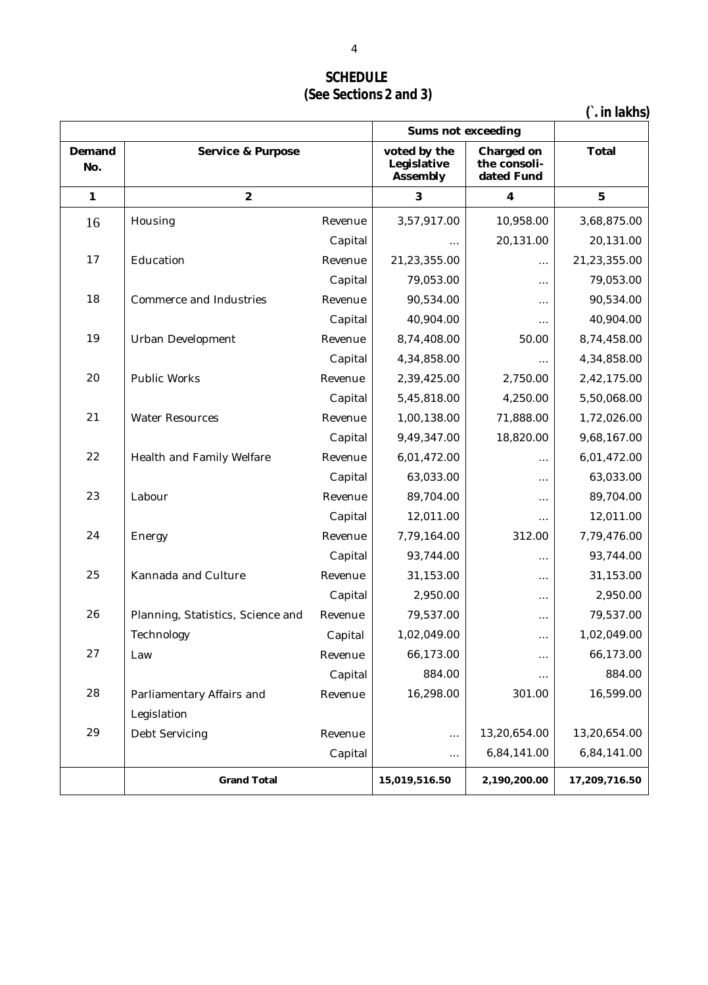# **SCHEDULE (See Sections 2 and 3)**

**(`. in lakhs)**

|               |                                   |         | Sums not exceeding                      |                                          |               |
|---------------|-----------------------------------|---------|-----------------------------------------|------------------------------------------|---------------|
| Demand<br>No. | Service & Purpose                 |         | voted by the<br>Legislative<br>Assembly | Charged on<br>the consoli-<br>dated Fund | <b>Total</b>  |
| 1             | $\overline{2}$                    |         | 3                                       | $\overline{\mathbf{4}}$                  | 5             |
| 16            | Housing                           | Revenue | 3,57,917.00                             | 10,958.00                                | 3,68,875.00   |
|               |                                   | Capital |                                         | 20,131.00                                | 20,131.00     |
| 17            | Education                         | Revenue | 21,23,355.00                            | $\cdots$                                 | 21,23,355.00  |
|               |                                   | Capital | 79,053.00                               | .                                        | 79,053.00     |
| 18            | Commerce and Industries           | Revenue | 90,534.00                               | $\ldots$                                 | 90,534.00     |
|               |                                   | Capital | 40,904.00                               | $\cdots$                                 | 40,904.00     |
| 19            | Urban Development                 | Revenue | 8,74,408.00                             | 50.00                                    | 8,74,458.00   |
|               |                                   | Capital | 4,34,858.00                             | $\ldots$                                 | 4,34,858.00   |
| 20            | Public Works                      | Revenue | 2,39,425.00                             | 2,750.00                                 | 2,42,175.00   |
|               |                                   | Capital | 5,45,818.00                             | 4,250.00                                 | 5,50,068.00   |
| 21            | Water Resources                   | Revenue | 1,00,138.00                             | 71,888.00                                | 1,72,026.00   |
|               |                                   | Capital | 9,49,347.00                             | 18,820.00                                | 9,68,167.00   |
| 22            | Health and Family Welfare         | Revenue | 6,01,472.00                             | $\cdots$                                 | 6,01,472.00   |
|               |                                   | Capital | 63,033.00                               | $\cdots$                                 | 63,033.00     |
| 23            | Labour                            | Revenue | 89,704.00                               | $\ldots$                                 | 89,704.00     |
|               |                                   | Capital | 12,011.00                               | $\ldots$                                 | 12,011.00     |
| 24            | Energy                            | Revenue | 7,79,164.00                             | 312.00                                   | 7,79,476.00   |
|               |                                   | Capital | 93,744.00                               | $\cdots$                                 | 93,744.00     |
| 25            | Kannada and Culture               | Revenue | 31,153.00                               | $\ldots$                                 | 31,153.00     |
|               |                                   | Capital | 2,950.00                                | $\ldots$                                 | 2,950.00      |
| 26            | Planning, Statistics, Science and | Revenue | 79,537.00                               | $\ldots$                                 | 79,537.00     |
|               | Technology                        | Capital | 1,02,049.00                             | $\cdots$                                 | 1,02,049.00   |
| 27            | Law                               | Revenue | 66,173.00                               | $\cdots$                                 | 66,173.00     |
|               |                                   | Capital | 884.00                                  | $\cdots$                                 | 884.00        |
| 28            | Parliamentary Affairs and         | Revenue | 16,298.00                               | 301.00                                   | 16,599.00     |
|               | Legislation                       |         |                                         |                                          |               |
| 29            | Debt Servicing                    | Revenue | $\ldots$                                | 13,20,654.00                             | 13,20,654.00  |
|               |                                   | Capital | $\ldots$                                | 6,84,141.00                              | 6,84,141.00   |
|               | <b>Grand Total</b>                |         | 15,019,516.50                           | 2,190,200.00                             | 17,209,716.50 |